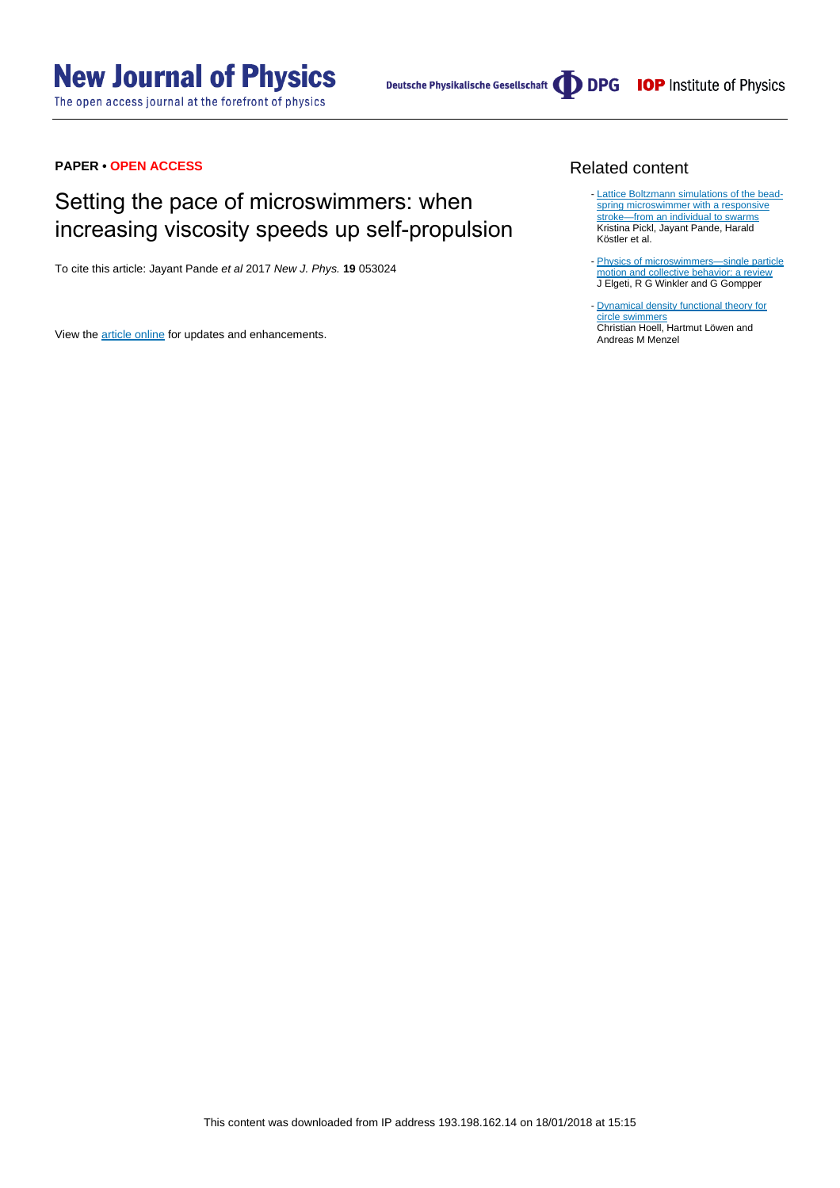# **New Journal of Physics**

The open access journal at the forefront of physics



# **PAPER • OPEN ACCESS**

# Setting the pace of microswimmers: when increasing viscosity speeds up self-propulsion

To cite this article: Jayant Pande et al 2017 New J. Phys. **19** 053024

View the [article online](https://doi.org/10.1088/1367-2630/aa6e3a) for updates and enhancements.

## Related content

- [Lattice Boltzmann simulations of the bead](http://iopscience.iop.org/article/10.1088/1361-648X/aa5a40)[spring microswimmer with a responsive](http://iopscience.iop.org/article/10.1088/1361-648X/aa5a40) [stroke—from an individual to swarms](http://iopscience.iop.org/article/10.1088/1361-648X/aa5a40) Kristina Pickl, Jayant Pande, Harald Köstler et al.
- Physics of microswimmers-single particle [motion and collective behavior: a review](http://iopscience.iop.org/article/10.1088/0034-4885/78/5/056601) J Elgeti, R G Winkler and G Gompper
- [Dynamical density functional theory for](http://iopscience.iop.org/article/10.1088/1367-2630/aa942e) [circle swimmers](http://iopscience.iop.org/article/10.1088/1367-2630/aa942e) Christian Hoell, Hartmut Löwen and Andreas M Menzel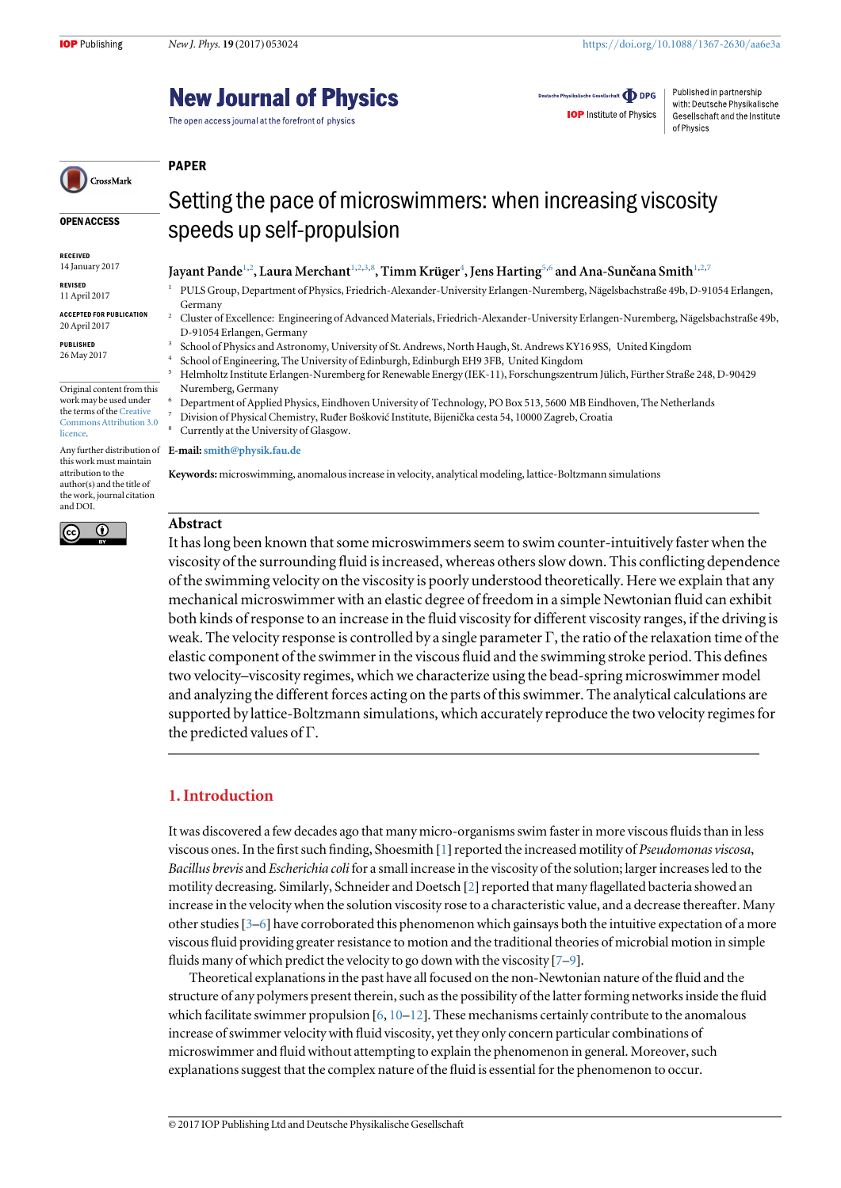OPEN ACCESS

Original content from this work may be used under the terms of the [Creative](http://creativecommons.org/licenses/by/3.0) [Commons Attribution 3.0](http://creativecommons.org/licenses/by/3.0)

this work must maintain attribution to the author(s) and the title of the work, journal citation

 $\overline{\odot}$ 

RECEIVED 14 January 2017 REVISED 11 April 2017 ACCEPTED FOR PUBLICATION 20 April 2017 PUBLISHED 26 May 2017

**licence** 

and DOI.

(cc

# **New Journal of Physics**

The open access journal at the forefront of physics

Deutsche Physikalische Gesellschaft **ODPG IOP** Institute of Physics

Published in partnership with: Deutsche Physikalische Gesellschaft and the Institute of Physics

#### PAPER CrossMark

# Setting the pace of microswimmers: when increasing viscosity speeds up self-propulsion

### Jayant Pande $^{1,2}$ , Laura Merchant $^{1,2,3,8}$ , Timm Krüger $^4$ , Jens Harting $^{5,6}$  and Ana-Sunčana Smith $^{1,2,7}$

- <sup>1</sup> PULS Group, Department of Physics, Friedrich-Alexander-University Erlangen-Nuremberg, Nägelsbachstraße 49b, D-91054 Erlangen, Germany
	- <sup>2</sup> Cluster of Excellence: Engineering of Advanced Materials, Friedrich-Alexander-University Erlangen-Nuremberg, Nägelsbachstraße 49b, D-91054 Erlangen, Germany
- <sup>3</sup> School of Physics and Astronomy, University of St. Andrews, North Haugh, St. Andrews KY16 9SS, United Kingdom
- <sup>4</sup> School of Engineering, The University of Edinburgh, Edinburgh EH9 3FB, United Kingdom
- <sup>5</sup> Helmholtz Institute Erlangen-Nuremberg for Renewable Energy (IEK-11), Forschungszentrum Jülich, Fürther Straße 248, D-90429 Nuremberg, Germany
	- <sup>6</sup> Department of Applied Physics, Eindhoven University of Technology, PO Box 513, 5600 MB Eindhoven, The Netherlands
	- <sup>7</sup> Division of Physical Chemistry, Ruđer Bošković Institute, Bijenička cesta 54, 10000 Zagreb, Croatia
- Currently at the University of Glasgow.

Any further distribution of **E-mail: [smith@physik.fau.de](mailto:smith@physik.fau.de)** 

Keywords: microswimming, anomalous increase in velocity, analytical modeling, lattice-Boltzmann simulations

# Abstract

It has long been known that some microswimmers seem to swim counter-intuitively faster when the viscosity of the surrounding fluid is increased, whereas others slow down. This conflicting dependence of the swimming velocity on the viscosity is poorly understood theoretically. Here we explain that any mechanical microswimmer with an elastic degree of freedom in a simple Newtonian fluid can exhibit both kinds of response to an increase in the fluid viscosity for different viscosity ranges, if the driving is weak. The velocity response is controlled by a single parameter  $\Gamma$ , the ratio of the relaxation time of the elastic component of the swimmer in the viscous fluid and the swimming stroke period. This defines two velocity–viscosity regimes, which we characterize using the bead-spring microswimmer model and analyzing the different forces acting on the parts of this swimmer. The analytical calculations are supported by lattice-Boltzmann simulations, which accurately reproduce the two velocity regimes for the predicted values of Γ.

# 1. Introduction

It was discovered a few decades ago that many micro-organisms swim faster in more viscous fluids than in less viscous ones. In the first such finding, Shoesmith [[1](#page-7-0)] reported the increased motility of Pseudomonas viscosa, Bacillus brevis and Escherichia coli for a small increase in the viscosity of the solution; larger increases led to the motility decreasing. Similarly, Schneider and Doetsch [[2](#page-7-0)] reported that many flagellated bacteria showed an increase in the velocity when the solution viscosity rose to a characteristic value, and a decrease thereafter. Many other studies[[3](#page-7-0)–[6](#page-7-0)] have corroborated this phenomenon which gainsays both the intuitive expectation of a more viscous fluid providing greater resistance to motion and the traditional theories of microbial motion in simple fluids many of which predict the velocity to go down with the viscosity [[7](#page-7-0)–[9](#page-8-0)].

Theoretical explanations in the past have all focused on the non-Newtonian nature of the fluid and the structure of any polymers present therein, such as the possibility of the latter forming networks inside the fluid which facilitate swimmer propulsion  $[6, 10-12]$  $[6, 10-12]$  $[6, 10-12]$  $[6, 10-12]$  $[6, 10-12]$  $[6, 10-12]$  $[6, 10-12]$ . These mechanisms certainly contribute to the anomalous increase of swimmer velocity with fluid viscosity, yet they only concern particular combinations of microswimmer and fluid without attempting to explain the phenomenon in general. Moreover, such explanations suggest that the complex nature of the fluid is essential for the phenomenon to occur.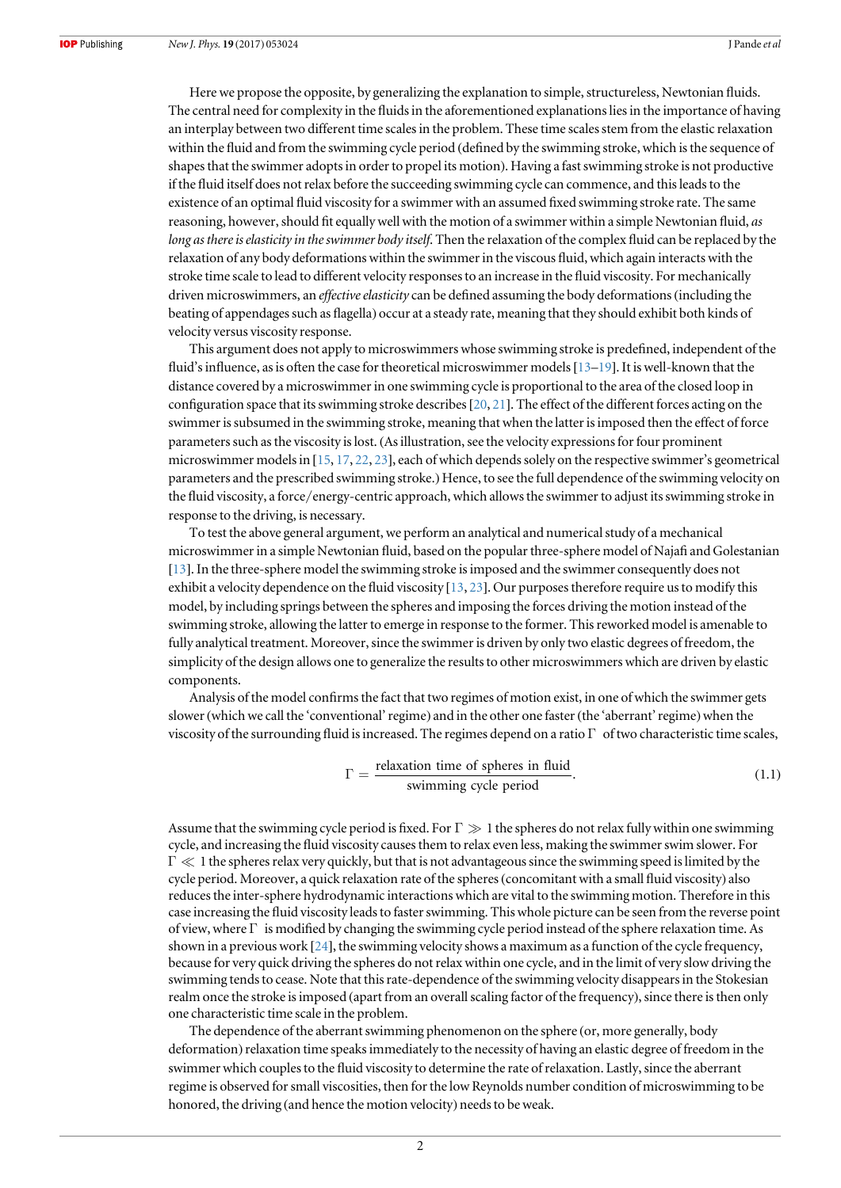Here we propose the opposite, by generalizing the explanation to simple, structureless, Newtonian fluids. The central need for complexity in the fluids in the aforementioned explanations lies in the importance of having an interplay between two different time scales in the problem. These time scales stem from the elastic relaxation within the fluid and from the swimming cycle period (defined by the swimming stroke, which is the sequence of shapes that the swimmer adopts in order to propel its motion). Having a fast swimming stroke is not productive if the fluid itself does not relax before the succeeding swimming cycle can commence, and this leads to the existence of an optimal fluid viscosity for a swimmer with an assumed fixed swimming stroke rate. The same reasoning, however, should fit equally well with the motion of a swimmer within a simple Newtonian fluid, as long as there is elasticity in the swimmer body itself. Then the relaxation of the complex fluid can be replaced by the relaxation of any body deformations within the swimmer in the viscous fluid, which again interacts with the stroke time scale to lead to different velocity responses to an increase in the fluid viscosity. For mechanically driven microswimmers, an effective elasticity can be defined assuming the body deformations (including the beating of appendages such as flagella) occur at a steady rate, meaning that they should exhibit both kinds of velocity versus viscosity response.

This argument does not apply to microswimmers whose swimming stroke is predefined, independent of the fluid's influence, as is often the case for theoretical microswimmer models[[13](#page-8-0)–[19](#page-8-0)]. It is well-known that the distance covered by a microswimmer in one swimming cycle is proportional to the area of the closed loop in configuration space that its swimming stroke describes[[20,](#page-8-0) [21](#page-8-0)]. The effect of the different forces acting on the swimmer is subsumed in the swimming stroke, meaning that when the latter is imposed then the effect of force parameters such as the viscosity is lost.(As illustration, see the velocity expressions for four prominent microswimmer models in [[15](#page-8-0), [17,](#page-8-0) [22](#page-8-0), [23](#page-8-0)], each of which depends solely on the respective swimmer's geometrical parameters and the prescribed swimming stroke.) Hence, to see the full dependence of the swimming velocity on the fluid viscosity, a force/energy-centric approach, which allows the swimmer to adjust its swimming stroke in response to the driving, is necessary.

To test the above general argument, we perform an analytical and numerical study of a mechanical microswimmer in a simple Newtonian fluid, based on the popular three-sphere model of Najafi and Golestanian [[13](#page-8-0)]. In the three-sphere model the swimming stroke is imposed and the swimmer consequently does not exhibit a velocity dependence on the fluid viscosity [[13](#page-8-0), [23](#page-8-0)]. Our purposes therefore require us to modify this model, by including springs between the spheres and imposing the forces driving the motion instead of the swimming stroke, allowing the latter to emerge in response to the former. This reworked model is amenable to fully analytical treatment. Moreover, since the swimmer is driven by only two elastic degrees of freedom, the simplicity of the design allows one to generalize the results to other microswimmers which are driven by elastic components.

Analysis of the model confirms the fact that two regimes of motion exist, in one of which the swimmer gets slower (which we call the 'conventional' regime) and in the other one faster (the 'aberrant' regime) when the viscosity of the surrounding fluid is increased. The regimes depend on a ratio  $\Gamma$  of two characteristic time scales,

$$
\Gamma = \frac{\text{relaxation time of spheres in fluid}}{\text{swimming cycle period}}.
$$
\n(1.1)

Assume that the swimming cycle period is fixed. For  $\Gamma \gg 1$  the spheres do not relax fully within one swimming cycle, and increasing the fluid viscosity causes them to relax even less, making the swimmer swim slower. For  $\Gamma \ll 1$  the spheres relax very quickly, but that is not advantageous since the swimming speed is limited by the cycle period. Moreover, a quick relaxation rate of the spheres(concomitant with a small fluid viscosity) also reduces the inter-sphere hydrodynamic interactions which are vital to the swimming motion. Therefore in this case increasing the fluid viscosity leads to faster swimming. This whole picture can be seen from the reverse point of view, where  $\Gamma$  is modified by changing the swimming cycle period instead of the sphere relaxation time. As shown in a previous work [[24](#page-8-0)], the swimming velocity shows a maximum as a function of the cycle frequency, because for very quick driving the spheres do not relax within one cycle, and in the limit of very slow driving the swimming tends to cease. Note that this rate-dependence of the swimming velocity disappears in the Stokesian realm once the stroke is imposed (apart from an overall scaling factor of the frequency), since there is then only one characteristic time scale in the problem.

The dependence of the aberrant swimming phenomenon on the sphere (or, more generally, body deformation) relaxation time speaks immediately to the necessity of having an elastic degree of freedom in the swimmer which couples to the fluid viscosity to determine the rate of relaxation. Lastly, since the aberrant regime is observed for small viscosities, then for the low Reynolds number condition of microswimming to be honored, the driving (and hence the motion velocity) needs to be weak.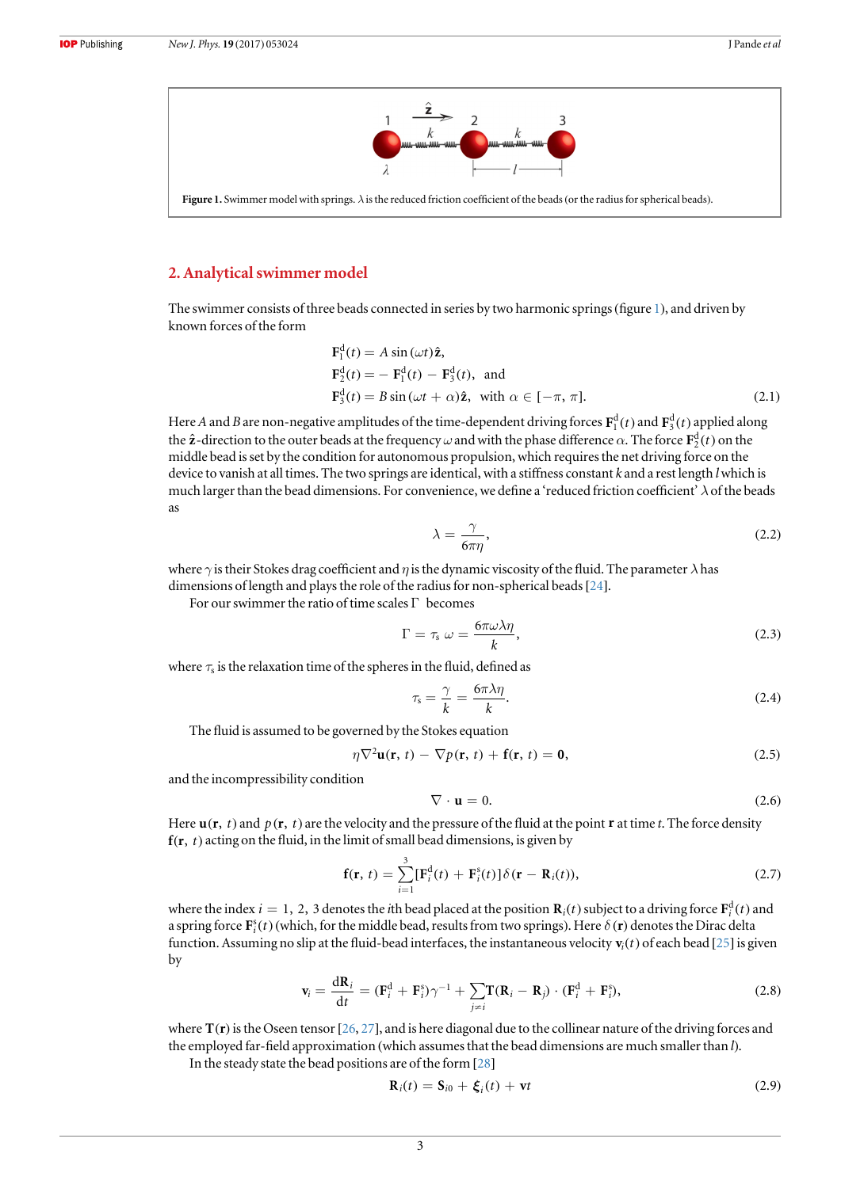

<span id="page-3-0"></span>Figure 1. Swimmer model with springs.  $\lambda$  is the reduced friction coefficient of the beads (or the radius for spherical beads).

#### 2. Analytical swimmer model

The swimmer consists of three beads connected in series by two harmonic springs(figure 1), and driven by known forces of the form

$$
\mathbf{F}_1^d(t) = A \sin(\omega t) \hat{\mathbf{z}},
$$
  
\n
$$
\mathbf{F}_2^d(t) = - \mathbf{F}_1^d(t) - \mathbf{F}_3^d(t), \text{ and}
$$
  
\n
$$
\mathbf{F}_3^d(t) = B \sin(\omega t + \alpha) \hat{\mathbf{z}}, \text{ with } \alpha \in [-\pi, \pi].
$$
\n(2.1)

Here A and B are non-negative amplitudes of the time-dependent driving forces  $F_1^d(t)$  and  $F_3^d(t)$  applied along the  $\hat{\bf z}$ -direction to the outer beads at the frequency  $\omega$  and with the phase difference  $\alpha$ . The force  ${\bf F}_2^{\rm d}(t)$  on the middle bead is set by the condition for autonomous propulsion, which requires the net driving force on the device to vanish at all times. The two springs are identical, with a stiffness constant  $k$  and a rest length  $l$  which is much larger than the bead dimensions. For convenience, we define a 'reduced friction coefficient'  $\lambda$  of the beads as

$$
\lambda = \frac{\gamma}{6\pi\eta},\tag{2.2}
$$

where  $\gamma$  is their Stokes drag coefficient and  $\eta$  is the dynamic viscosity of the fluid. The parameter  $\lambda$  has dimensions of length and plays the role of the radius for non-spherical beads  $[24]$  $[24]$  $[24]$ .

For our swimmer the ratio of time scales Γ becomes

$$
\Gamma = \tau_s \ \omega = \frac{6\pi\omega\lambda\eta}{k},\tag{2.3}
$$

where  $\tau_s$  is the relaxation time of the spheres in the fluid, defined as

$$
\tau_{\rm s} = \frac{\gamma}{k} = \frac{6\pi\lambda\eta}{k}.\tag{2.4}
$$

The fluid is assumed to be governed by the Stokes equation

$$
\eta \nabla^2 \mathbf{u}(\mathbf{r}, t) - \nabla p(\mathbf{r}, t) + \mathbf{f}(\mathbf{r}, t) = \mathbf{0},\tag{2.5}
$$

and the incompressibility condition

$$
\nabla \cdot \mathbf{u} = 0. \tag{2.6}
$$

Here  $\mathbf{u}(\mathbf{r}, t)$  and  $p(\mathbf{r}, t)$  are the velocity and the pressure of the fluid at the point **r** at time t. The force density  $f(r, t)$  acting on the fluid, in the limit of small bead dimensions, is given by

$$
\mathbf{f}(\mathbf{r},\,t)=\sum_{i=1}^{3}[\mathbf{F}_{i}^{\mathrm{d}}(t)+\mathbf{F}_{i}^{\mathrm{s}}(t)]\delta(\mathbf{r}-\mathbf{R}_{i}(t)),\tag{2.7}
$$

where the index  $i = 1, 2, 3$  denotes the *i*th bead placed at the position  $\mathbf{R}_i(t)$  subject to a driving force  $\mathbf{F}_i^{\text{d}}(t)$  and a spring force  $\mathbf{F}_i^s(t)$  (which, for the middle bead, results from two springs). Here  $\delta(\mathbf{r})$  denotes the Dirac delta function. Assuming no slip at the fluid-bead interfaces, the instantaneous velocity  $\mathbf{v}_i(t)$  of each bead [[25](#page-8-0)] is given by

$$
\mathbf{v}_i = \frac{\mathrm{d}\mathbf{R}_i}{\mathrm{d}t} = (\mathbf{F}_i^{\mathrm{d}} + \mathbf{F}_i^{\mathrm{s}})\gamma^{-1} + \sum_{j \neq i} \mathbf{T}(\mathbf{R}_i - \mathbf{R}_j) \cdot (\mathbf{F}_i^{\mathrm{d}} + \mathbf{F}_i^{\mathrm{s}}), \tag{2.8}
$$

where  $T(r)$  is the Oseen tensor [[26,](#page-8-0) [27](#page-8-0)], and is here diagonal due to the collinear nature of the driving forces and the employed far-field approximation (which assumes that the bead dimensions are much smaller than l).

In the steady state the bead positions are of the form [[28](#page-8-0)]

$$
\mathbf{R}_i(t) = \mathbf{S}_{i0} + \boldsymbol{\xi}_i(t) + \mathbf{v}t
$$
\n(2.9)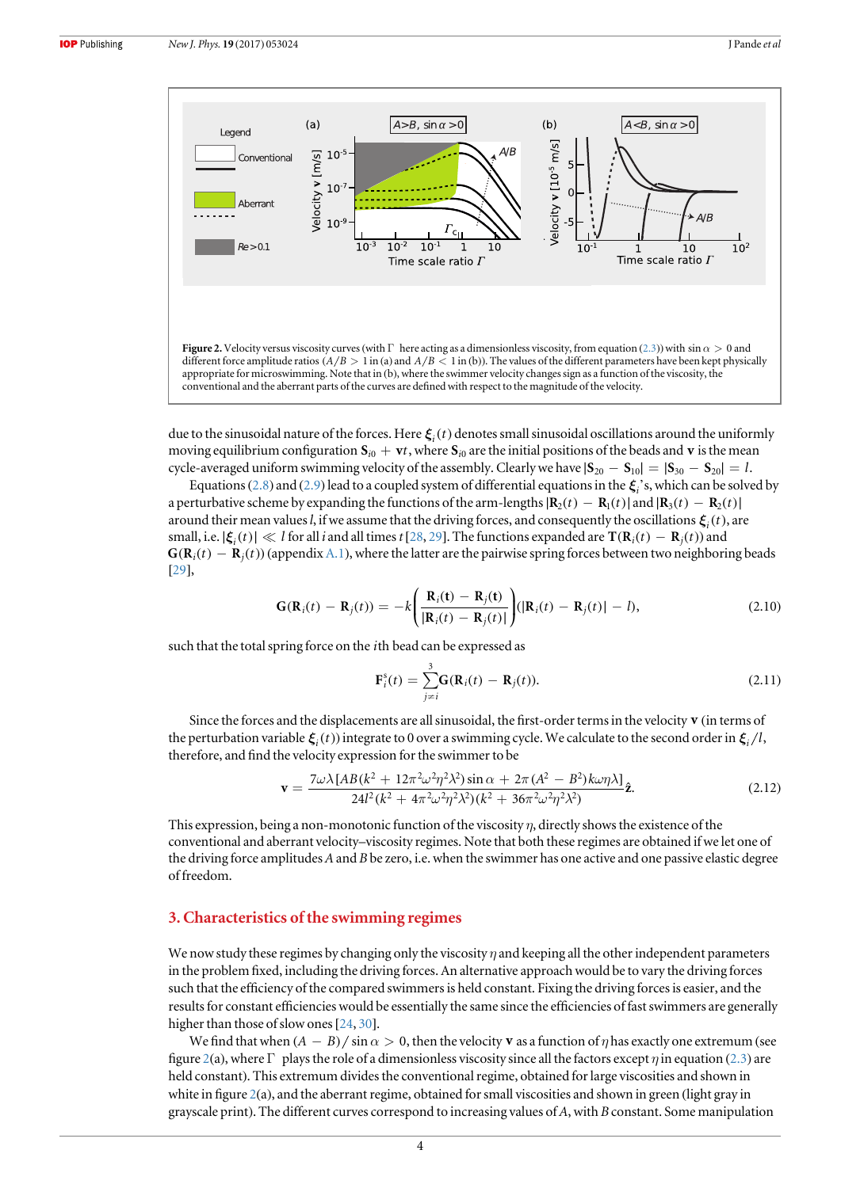<span id="page-4-0"></span>

due to the sinusoidal nature of the forces. Here  $\xi_i(t)$  denotes small sinusoidal oscillations around the uniformly moving equilibrium configuration  $\mathbf{S}_{i0} + \mathbf{v}t$ , where  $\mathbf{S}_{i0}$  are the initial positions of the beads and  $\mathbf{v}$  is the mean cycle-averaged uniform swimming velocity of the assembly. Clearly we have  $|\mathbf{S}_{20} - \mathbf{S}_{10}| = |\mathbf{S}_{30} - \mathbf{S}_{20}| = l$ .

Equations ([2.8](#page-3-0)) and ([2.9](#page-3-0)) lead to a coupled system of differential equations in the  $\xi$ <sup>2</sup>, s, which can be solved by a perturbative scheme by expanding the functions of the arm-lengths  $\mathbf{R}_2(t) - \mathbf{R}_1(t)$  and  $\mathbf{R}_3(t) - \mathbf{R}_2(t)$ around their mean values *l*, if we assume that the driving forces, and consequently the oscillations  $\xi_i(t)$ , are small, i.e.  $|\xi_i(t)| \ll l$  for all *i* and all times t[[28,](#page-8-0) [29](#page-8-0)]. The functions expanded are  $\mathbf{T}(\mathbf{R}_i(t) - \mathbf{R}_i(t))$  and  $G(R<sub>i</sub>(t) - R<sub>i</sub>(t))$  (appendix [A.1](#page-7-0)), where the latter are the pairwise spring forces between two neighboring beads [[29](#page-8-0)],

$$
\mathbf{G}(\mathbf{R}_i(t) - \mathbf{R}_j(t)) = -k \left( \frac{\mathbf{R}_i(t) - \mathbf{R}_j(t)}{|\mathbf{R}_i(t) - \mathbf{R}_j(t)|} \right) (|\mathbf{R}_i(t) - \mathbf{R}_j(t)| - l),
$$
\n(2.10)

such that the total spring force on the *i*th bead can be expressed as

$$
\mathbf{F}_{i}^{s}(t) = \sum_{j \neq i}^{3} \mathbf{G}(\mathbf{R}_{i}(t) - \mathbf{R}_{j}(t)).
$$
\n(2.11)

Since the forces and the displacements are all sinusoidal, the first-order terms in the velocity **v** (in terms of the perturbation variable  $\boldsymbol{\xi}_i(t)$  integrate to 0 over a swimming cycle. We calculate to the second order in  $\boldsymbol{\xi}_i/l$ , therefore, and find the velocity expression for the swimmer to be

$$
\mathbf{v} = \frac{7\omega\lambda[AB(k^2 + 12\pi^2\omega^2\eta^2\lambda^2)\sin\alpha + 2\pi(A^2 - B^2)k\omega\eta\lambda]}{24l^2(k^2 + 4\pi^2\omega^2\eta^2\lambda^2)(k^2 + 36\pi^2\omega^2\eta^2\lambda^2)}\hat{\mathbf{z}}.\tag{2.12}
$$

This expression, being a non-monotonic function of the viscosity  $\eta$ , directly shows the existence of the conventional and aberrant velocity–viscosity regimes. Note that both these regimes are obtained if we let one of the driving force amplitudes  $A$  and  $B$  be zero, i.e. when the swimmer has one active and one passive elastic degree of freedom.

#### 3. Characteristics of the swimming regimes

We now study these regimes by changing only the viscosity  $\eta$  and keeping all the other independent parameters in the problem fixed, including the driving forces. An alternative approach would be to vary the driving forces such that the efficiency of the compared swimmers is held constant. Fixing the driving forces is easier, and the results for constant efficiencies would be essentially the same since the efficiencies of fast swimmers are generally higher than those of slow ones [[24,](#page-8-0) [30](#page-8-0)].

We find that when  $(A - B)/\sin \alpha > 0$ , then the velocity **v** as a function of  $\eta$  has exactly one extremum (see figure 2(a), where  $\Gamma$  plays the role of a dimensionless viscosity since all the factors except  $\eta$  in equation ([2.3](#page-3-0)) are held constant). This extremum divides the conventional regime, obtained for large viscosities and shown in white in figure 2(a), and the aberrant regime, obtained for small viscosities and shown in green (light gray in grayscale print). The different curves correspond to increasing values of  $A$ , with  $B$  constant. Some manipulation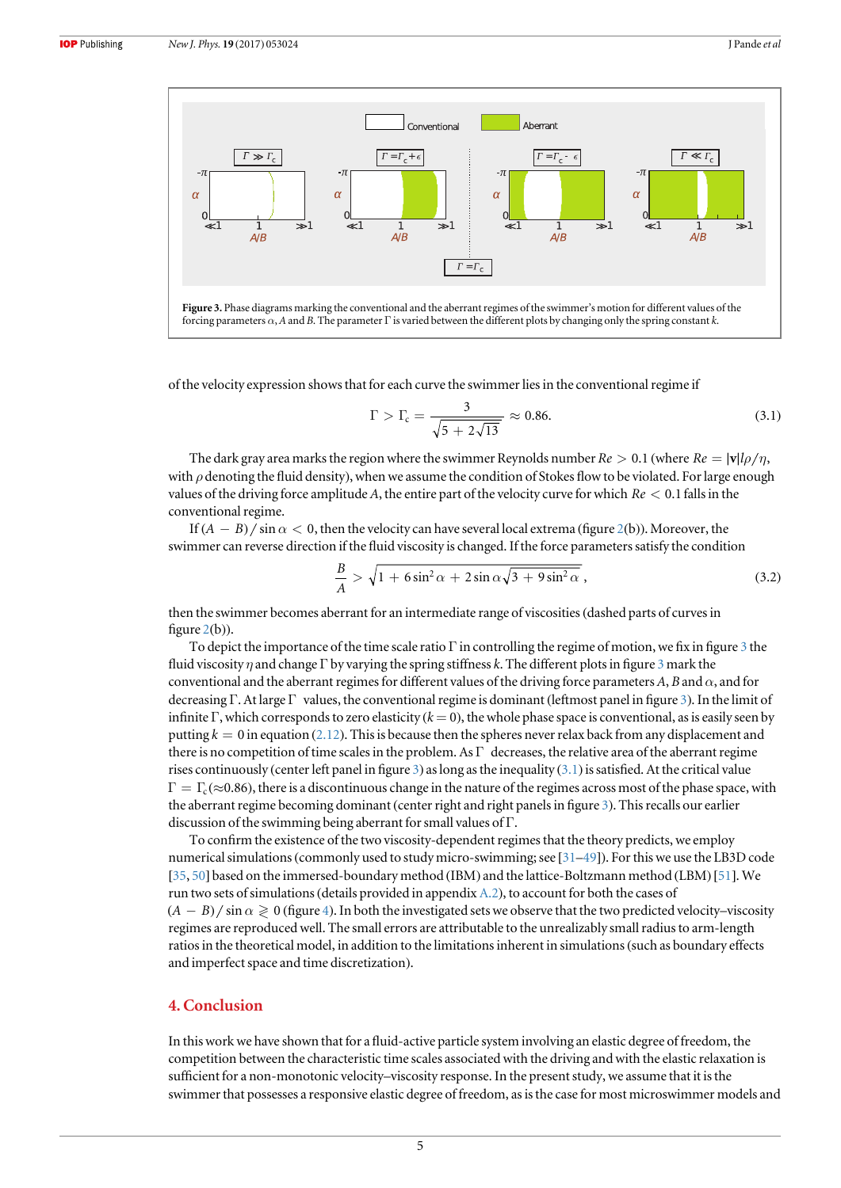

of the velocity expression shows that for each curve the swimmer lies in the conventional regime if

$$
\Gamma > \Gamma_{\rm c} = \frac{3}{\sqrt{5 + 2\sqrt{13}}} \approx 0.86. \tag{3.1}
$$

The dark gray area marks the region where the swimmer Reynolds number  $Re > 0.1$  (where  $Re = |\mathbf{v}| \cdot ln / n$ , with  $\rho$  denoting the fluid density), when we assume the condition of Stokes flow to be violated. For large enough values of the driving force amplitude A, the entire part of the velocity curve for which *Re* < 0.1 falls in the conventional regime.

If  $(A - B) / \sin \alpha < 0$ , then the velocity can have several local extrema (figure [2](#page-4-0)(b)). Moreover, the swimmer can reverse direction if the fluid viscosity is changed. If the force parameters satisfy the condition

$$
\frac{B}{A} > \sqrt{1 + 6\sin^2\alpha + 2\sin\alpha\sqrt{3 + 9\sin^2\alpha}},
$$
\n(3.2)

then the swimmer becomes aberrant for an intermediate range of viscosities(dashed parts of curves in figure  $2(b)$  $2(b)$ ).

To depict the importance of the time scale ratio  $\Gamma$  in controlling the regime of motion, we fix in figure 3 the fluid viscosity  $\eta$  and change Γ by varying the spring stiffness k. The different plots in figure 3 mark the conventional and the aberrant regimes for different values of the driving force parameters A, B and  $\alpha$ , and for decreasing Γ. At large Γ values, the conventional regime is dominant (leftmost panel in figure 3). In the limit of infinite Γ, which corresponds to zero elasticity ( $k = 0$ ), the whole phase space is conventional, as is easily seen by putting  $k = 0$  in equation ([2.12](#page-4-0)). This is because then the spheres never relax back from any displacement and there is no competition of time scales in the problem. As  $\Gamma$  decreases, the relative area of the aberrant regime rises continuously (center left panel in figure 3) as long as the inequality (3.1) is satisfied. At the critical value  $\Gamma = \Gamma_c (\approx 0.86)$ , there is a discontinuous change in the nature of the regimes across most of the phase space, with the aberrant regime becoming dominant (center right and right panels in figure 3). This recalls our earlier discussion of the swimming being aberrant for small values of Γ.

To confirm the existence of the two viscosity-dependent regimes that the theory predicts, we employ numerical simulations(commonly used to study micro-swimming; see [[31](#page-8-0)–[49](#page-8-0)]). For this we use the LB3D code [[35,](#page-8-0) [50](#page-8-0)] based on the immersed-boundary method (IBM) and the lattice-Boltzmann method (LBM)[[51](#page-8-0)]. We run two sets of simulations(details provided in appendix [A.2](#page-7-0)), to account for both the cases of  $(A - B)$  / sin  $\alpha \ge 0$  (figure [4](#page-6-0)). In both the investigated sets we observe that the two predicted velocity–viscosity regimes are reproduced well. The small errors are attributable to the unrealizably small radius to arm-length ratios in the theoretical model, in addition to the limitations inherent in simulations(such as boundary effects and imperfect space and time discretization).

### 4. Conclusion

In this work we have shown that for a fluid-active particle system involving an elastic degree of freedom, the competition between the characteristic time scales associated with the driving and with the elastic relaxation is sufficient for a non-monotonic velocity–viscosity response. In the present study, we assume that it is the swimmer that possesses a responsive elastic degree of freedom, as is the case for most microswimmer models and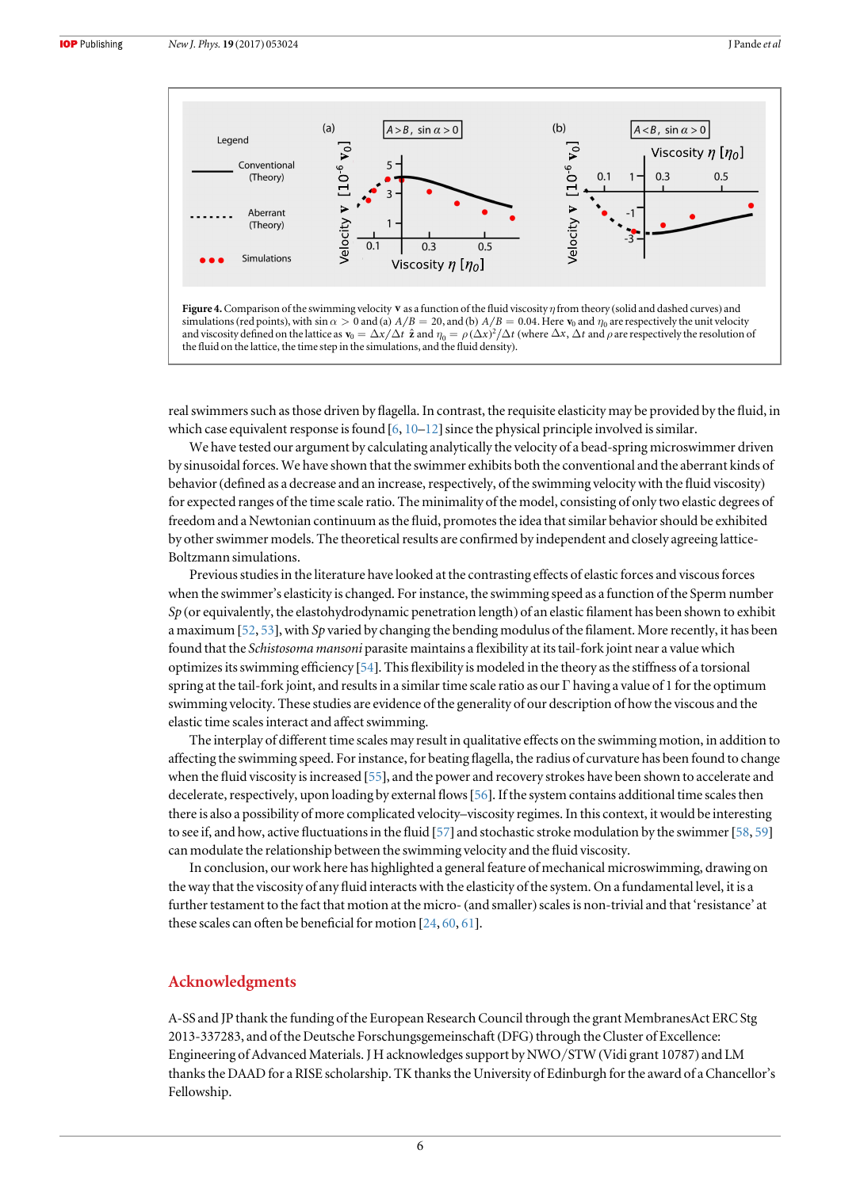<span id="page-6-0"></span>

and viscosity defined on the lattice as  $\mathbf{v}_0 = \Delta x / \Delta t \hat{\mathbf{z}}$  and  $\eta_0 = \rho (\Delta x)^2 / \Delta t$  (where  $\Delta x$ ,  $\Delta t$  and  $\rho$  are respectively the resolution of the fluid on the lattice, the time step in the simulations, and the fluid density).

real swimmers such as those driven by flagella. In contrast, the requisite elasticity may be provided by the fluid, in which case equivalent response is found  $[6, 10-12]$  $[6, 10-12]$  $[6, 10-12]$  $[6, 10-12]$  $[6, 10-12]$  $[6, 10-12]$  $[6, 10-12]$  since the physical principle involved is similar.

We have tested our argument by calculating analytically the velocity of a bead-spring microswimmer driven by sinusoidal forces. We have shown that the swimmer exhibits both the conventional and the aberrant kinds of behavior (defined as a decrease and an increase, respectively, of the swimming velocity with the fluid viscosity) for expected ranges of the time scale ratio. The minimality of the model, consisting of only two elastic degrees of freedom and a Newtonian continuum as the fluid, promotes the idea that similar behavior should be exhibited by other swimmer models. The theoretical results are confirmed by independent and closely agreeing lattice-Boltzmann simulations.

Previous studies in the literature have looked at the contrasting effects of elastic forces and viscous forces when the swimmer's elasticity is changed. For instance, the swimming speed as a function of the Sperm number  $Sp$  (or equivalently, the elastohydrodynamic penetration length) of an elastic filament has been shown to exhibit a maximum [[52,](#page-8-0) [53](#page-8-0)], with Sp varied by changing the bending modulus of the filament. More recently, it has been found that the Schistosoma mansoni parasite maintains a flexibility at its tail-fork joint near a value which optimizes its swimming efficiency [[54](#page-8-0)]. This flexibility is modeled in the theory as the stiffness of a torsional spring at the tail-fork joint, and results in a similar time scale ratio as our Γ having a value of 1 for the optimum swimming velocity. These studies are evidence of the generality of our description of how the viscous and the elastic time scales interact and affect swimming.

The interplay of different time scales may result in qualitative effects on the swimming motion, in addition to affecting the swimming speed. For instance, for beating flagella, the radius of curvature has been found to change when the fluid viscosity is increased [[55](#page-8-0)], and the power and recovery strokes have been shown to accelerate and decelerate, respectively, upon loading by external flows[[56](#page-8-0)]. If the system contains additional time scales then there is also a possibility of more complicated velocity–viscosity regimes. In this context, it would be interesting to see if, and how, active fluctuations in the fluid [[57](#page-8-0)] and stochastic stroke modulation by the swimmer [[58,](#page-8-0) [59](#page-8-0)] can modulate the relationship between the swimming velocity and the fluid viscosity.

In conclusion, our work here has highlighted a general feature of mechanical microswimming, drawing on the way that the viscosity of any fluid interacts with the elasticity of the system. On a fundamental level, it is a further testament to the fact that motion at the micro- (and smaller) scales is non-trivial and that 'resistance' at these scales can often be beneficial for motion [[24](#page-8-0), [60,](#page-8-0) [61](#page-8-0)].

#### Acknowledgments

A-SS and JP thank the funding of the European Research Council through the grant MembranesAct ERC Stg 2013-337283, and of the Deutsche Forschungsgemeinschaft (DFG) through the Cluster of Excellence: Engineering of Advanced Materials. J H acknowledges support by NWO/STW (Vidi grant 10787) and LM thanks the DAAD for a RISE scholarship. TK thanks the University of Edinburgh for the award of a Chancellor's Fellowship.

6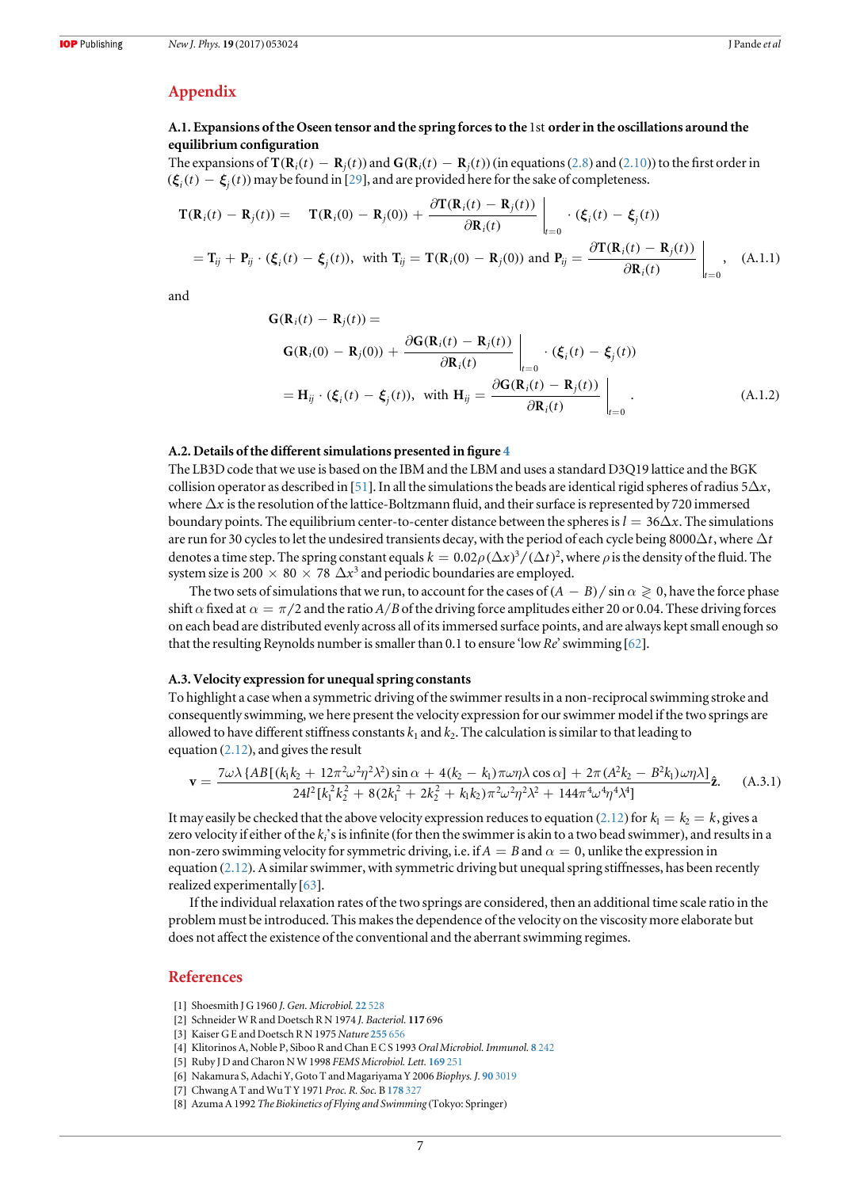### <span id="page-7-0"></span>Appendix

#### A.1. Expansions of the Oseen tensor and the spring forces to the 1st order in the oscillations around the equilibrium configuration

The expansions of  $\mathbf{T}(\mathbf{R}_i(t) - \mathbf{R}_i(t))$  and  $\mathbf{G}(\mathbf{R}_i(t) - \mathbf{R}_i(t))$  (in equations ([2.8](#page-3-0)) and ([2.10](#page-4-0))) to the first order in  $f_{i}(f_{i}) - f_{i}(t)$  may be found in [[29](#page-8-0)], and are provided here for the sake of completeness.

$$
\mathbf{T}(\mathbf{R}_i(t) - \mathbf{R}_j(t)) = \mathbf{T}(\mathbf{R}_i(0) - \mathbf{R}_j(0)) + \frac{\partial \mathbf{T}(\mathbf{R}_i(t) - \mathbf{R}_j(t))}{\partial \mathbf{R}_i(t)} \Big|_{t=0} \cdot (\xi_i(t) - \xi_j(t))
$$
\n
$$
= \mathbf{T}_{ij} + \mathbf{P}_{ij} \cdot (\xi_i(t) - \xi_j(t)), \text{ with } \mathbf{T}_{ij} = \mathbf{T}(\mathbf{R}_i(0) - \mathbf{R}_j(0)) \text{ and } \mathbf{P}_{ij} = \frac{\partial \mathbf{T}(\mathbf{R}_i(t) - \mathbf{R}_j(t))}{\partial \mathbf{R}_i(t)} \Big|_{t=0}, \quad \text{(A.1.1)}
$$

and

$$
\mathbf{G}(\mathbf{R}_i(t) - \mathbf{R}_j(t)) =
$$
\n
$$
\mathbf{G}(\mathbf{R}_i(0) - \mathbf{R}_j(0)) + \frac{\partial \mathbf{G}(\mathbf{R}_i(t) - \mathbf{R}_j(t))}{\partial \mathbf{R}_i(t)} \bigg|_{t=0} \cdot (\xi_i(t) - \xi_j(t))
$$
\n
$$
= \mathbf{H}_{ij} \cdot (\xi_i(t) - \xi_j(t)), \text{ with } \mathbf{H}_{ij} = \frac{\partial \mathbf{G}(\mathbf{R}_i(t) - \mathbf{R}_j(t))}{\partial \mathbf{R}_i(t)} \bigg|_{t=0}.
$$
\n(A.1.2)

#### A.2. Details of the different simulations presented in figure [4](#page-6-0)

The LB3D code that we use is based on the IBM and the LBM and uses a standard D3Q19 lattice and the BGK collision operator as described in [[51](#page-8-0)]. In all the simulations the beads are identical rigid spheres of radius  $5\Delta x$ , where  $\Delta x$  is the resolution of the lattice-Boltzmann fluid, and their surface is represented by 720 immersed boundary points. The equilibrium center-to-center distance between the spheres is  $l = 36\Delta x$ . The simulations are run for 30 cycles to let the undesired transients decay, with the period of each cycle being 8000 $\Delta t$ , where  $\Delta t$ denotes a time step. The spring constant equals  $k = 0.02 \rho (\Delta x)^3/(\Delta t)^2$ , where  $\rho$  is the density of the fluid. The system size is 200  $\times$  80  $\times$  78  $\Delta x^3$  and periodic boundaries are employed.

The two sets of simulations that we run, to account for the cases of  $(A - B)/\sin \alpha \geq 0$ , have the force phase shift  $\alpha$  fixed at  $\alpha = \pi/2$  and the ratio  $A/B$  of the driving force amplitudes either 20 or 0.04. These driving forces on each bead are distributed evenly across all of its immersed surface points, and are always kept small enough so that the resulting Reynolds number is smaller than 0.1 to ensure 'low Re' swimming  $[62]$  $[62]$  $[62]$ .

#### A.3. Velocity expression for unequal spring constants

To highlight a case when a symmetric driving of the swimmer results in a non-reciprocal swimming stroke and consequently swimming, we here present the velocity expression for our swimmer model if the two springs are allowed to have different stiffness constants  $k_1$  and  $k_2$ . The calculation is similar to that leading to equation ([2.12](#page-4-0)), and gives the result

$$
\mathbf{v} = \frac{7\omega\lambda \{AB[(k_1k_2 + 12\pi^2\omega^2\eta^2\lambda^2)\sin\alpha + 4(k_2 - k_1)\pi\omega\eta\lambda\cos\alpha] + 2\pi (A^2k_2 - B^2k_1)\omega\eta\lambda]}{24l^2[k_1^2k_2^2 + 8(2k_1^2 + 2k_2^2 + k_1k_2)\pi^2\omega^2\eta^2\lambda^2 + 144\pi^4\omega^4\eta^4\lambda^4]} \hat{\mathbf{z}}.
$$
 (A.3.1)

It may easily be checked that the above velocity expression reduces to equation ([2.12](#page-4-0)) for  $k_1 = k_2 = k$ , gives a zero velocity if either of the  $k<sub>i</sub>$ 's is infinite (for then the swimmer is akin to a two bead swimmer), and results in a non-zero swimming velocity for symmetric driving, i.e. if  $A = B$  and  $\alpha = 0$ , unlike the expression in equation ([2.12](#page-4-0)). A similar swimmer, with symmetric driving but unequal spring stiffnesses, has been recently realized experimentally [[63](#page-8-0)].

If the individual relaxation rates of the two springs are considered, then an additional time scale ratio in the problem must be introduced. This makes the dependence of the velocity on the viscosity more elaborate but does not affect the existence of the conventional and the aberrant swimming regimes.

#### **References**

- [1] Shoesmith J G 1960 J. Gen. Microbiol. 22 [528](https://doi.org/10.1099/00221287-22-2-528)
- [2] Schneider W R and Doetsch R N 1974 J. Bacteriol. 117 696
- [3] Kaiser G E and Doetsch R N 1975 Nature [255](https://doi.org/10.1038/255656a0) 656
- [4] Klitorinos A, Noble P, Siboo R and Chan E C S 1993 Oral Microbiol. Immunol. 8 [242](https://doi.org/10.1111/j.1399-302X.1993.tb00567.x)
- [5] Ruby J D and Charon N W 1998 FEMS Microbiol. Lett. [169](https://doi.org/10.1111/j.1574-6968.1998.tb13325.x) 251
- [6] Nakamura S, Adachi Y, Goto T and Magariyama Y 2006 Biophys. J. 90 [3019](https://doi.org/10.1529/biophysj.105.074336)
- [7] Chwang A T and Wu T Y 1971 Proc. R. Soc. B [178](https://doi.org/10.1098/rspb.1971.0068) 327
- [8] Azuma A 1992 The Biokinetics of Flying and Swimming (Tokyo: Springer)